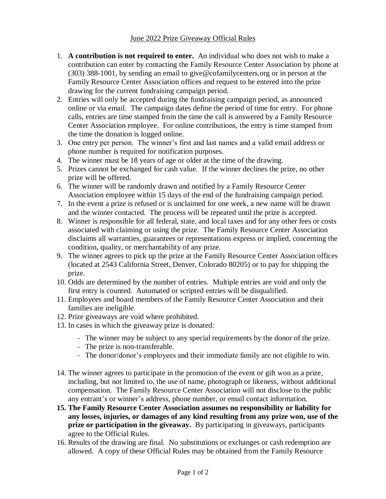## June 2022 Prize Giveaway Official Rules

- 1. **A contribution is not required to enter.** An individual who does not wish to make a contribution can enter by contacting the Family Resource Center Association by phone at (303) 388-1001, by sending an email to give@cofamilycenters.org or in person at the Family Resource Center Association offices and request to be entered into the prize drawing for the current fundraising campaign period.
- 2. Entries will only be accepted during the fundraising campaign period, as announced online or via email. The campaign dates define the period of time for entry. For phone calls, entries are time stamped from the time the call is answered by a Family Resource Center Association employee. For online contributions, the entry is time stamped from the time the donation is logged online.
- 3. One entry per person. The winner's first and last names and a valid email address or phone number is required for notification purposes.
- 4. The winner must be 18 years of age or older at the time of the drawing.
- 5. Prizes cannot be exchanged for cash value. If the winner declines the prize, no other prize will be offered.
- 6. The winner will be randomly drawn and notified by a Family Resource Center Association employee within 15 days of the end of the fundraising campaign period.
- 7. In the event a prize is refused or is unclaimed for one week, a new name will be drawn and the winner contacted. The process will be repeated until the prize is accepted.
- 8. Winner is responsible for all federal, state, and local taxes and for any other fees or costs associated with claiming or using the prize. The Family Resource Center Association disclaims all warranties, guarantees or representations express or implied, concerning the condition, quality, or merchantability of any prize.
- 9. The winner agrees to pick up the prize at the Family Resource Center Association offices (located at 2543 California Street, Denver, Colorado 80205) or to pay for shipping the prize.
- 10. Odds are determined by the number of entries. Multiple entries are void and only the first entry is counted. Automated or scripted entries will be disqualified.
- 11. Employees and board members of the Family Resource Center Association and their families are ineligible.
- 12. Prize giveaways are void where prohibited.
- 13. In cases in which the giveaway prize is donated:
	- The winner may be subject to any special requirements by the donor of the prize.
	- The prize is non-transferable.
	- The donor/donor's employees and their immediate family are not eligible to win.
- 14. The winner agrees to participate in the promotion of the event or gift won as a prize, including, but not limited to, the use of name, photograph or likeness, without additional compensation. The Family Resource Center Association will not disclose to the public any entrant's or winner's address, phone number, or email contact information.
- **15. The Family Resource Center Association assumes no responsibility or liability for any losses, injuries, or damages of any kind resulting from any prize won, use of the prize or participation in the giveaway.** By participating in giveaways, participants agree to the Official Rules.
- 16. Results of the drawing are final. No substitutions or exchanges or cash redemption are allowed. A copy of these Official Rules may be obtained from the Family Resource